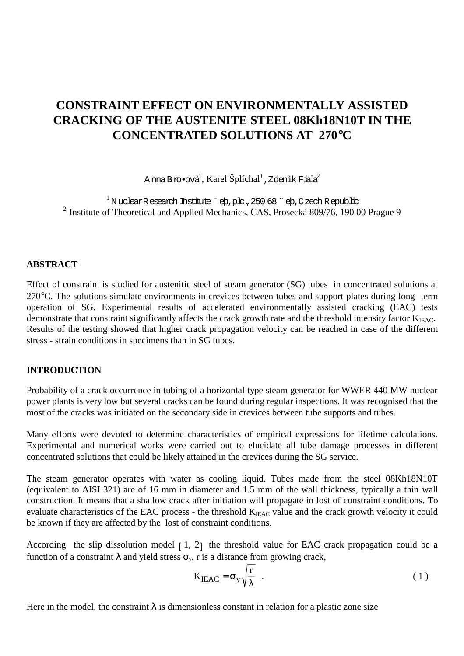# **CONSTRAINT EFFECT ON ENVIRONMENTALLY ASSISTED CRACKING OF THE AUSTENITE STEEL 08Kh18N10T IN THE CONCENTRATED SOLUTIONS AT 270**°**C**

A nna Bro•ová $^{\rm l}$ , Karel Šplíchal $^{\rm l}$  , Zdenìk Fiala $^{\rm 2}$ 

 $1$ N uclear Research Institute "eb,plc., 250 68 "eb, C zech Republic <sup>2</sup> Institute of Theoretical and Applied Mechanics, CAS, Prosecká  $809/76$ , 19000 Prague 9

#### **ABSTRACT**

Effect of constraint is studied for austenitic steel of steam generator (SG) tubes in concentrated solutions at 270°C. The solutions simulate environments in crevices between tubes and support plates during long term operation of SG. Experimental results of accelerated environmentally assisted cracking (EAC) tests demonstrate that constraint significantly affects the crack growth rate and the threshold intensity factor  $K_{\text{IFAC}}$ . Results of the testing showed that higher crack propagation velocity can be reached in case of the different stress - strain conditions in specimens than in SG tubes.

#### **INTRODUCTION**

Probability of a crack occurrence in tubing of a horizontal type steam generator for WWER 440 MW nuclear power plants is very low but several cracks can be found during regular inspections. It was recognised that the most of the cracks was initiated on the secondary side in crevices between tube supports and tubes.

Many efforts were devoted to determine characteristics of empirical expressions for lifetime calculations. Experimental and numerical works were carried out to elucidate all tube damage processes in different concentrated solutions that could be likely attained in the crevices during the SG service.

The steam generator operates with water as cooling liquid. Tubes made from the steel 08Kh18N10T (equivalent to AISI 321) are of 16 mm in diameter and 1.5 mm of the wall thickness, typically a thin wall construction. It means that a shallow crack after initiation will propagate in lost of constraint conditions. To evaluate characteristics of the EAC process - the threshold K<sub>IEAC</sub> value and the crack growth velocity it could be known if they are affected by the lost of constraint conditions.

According the slip dissolution model  $\lceil 1, 2 \rceil$  the threshold value for EAC crack propagation could be a function of a constraint  $\lambda$  and yield stress  $\sigma_{v}$ , r is a distance from growing crack,

$$
K_{\text{IEAC}} = \sigma_y \sqrt{\frac{r}{\lambda}} \quad . \tag{1}
$$

Here in the model, the constraint  $\lambda$  is dimensionless constant in relation for a plastic zone size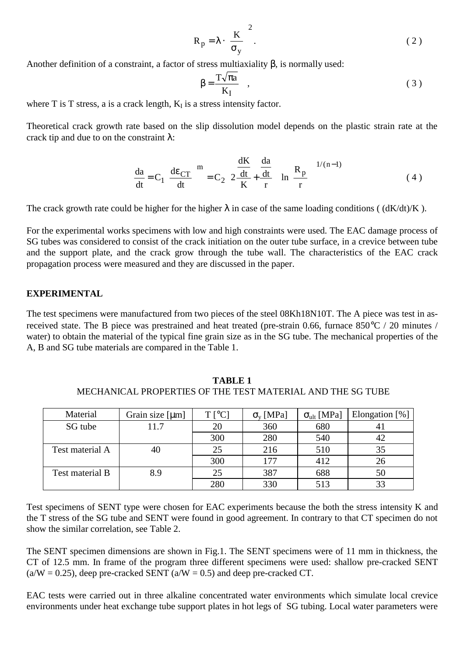$$
R_p = \lambda \cdot \left(\frac{K}{\sigma_y}\right)^2.
$$
 (2)

Another definition of a constraint, a factor of stress multiaxiality  $\beta$ , is normally used:

$$
\beta = \frac{T\sqrt{\pi a}}{K_I} \quad , \tag{3}
$$

where  $T$  is  $T$  stress, a is a crack length,  $K_I$  is a stress intensity factor.

Theoretical crack growth rate based on the slip dissolution model depends on the plastic strain rate at the crack tip and due to on the constraint  $\lambda$ :

$$
\frac{da}{dt} = C_1 \left(\frac{de_{CT}}{dt}\right)^m = C_2 \left(2\frac{\frac{dK}{dt}}{K} + \frac{\frac{da}{dt}}{r}\right) \ln\left(\frac{R_p}{r}\right)^{1/(n-1)}
$$
(4)

The crack growth rate could be higher for the higher  $\lambda$  in case of the same loading conditions ( $(dK/dt)/K$ ).

For the experimental works specimens with low and high constraints were used. The EAC damage process of SG tubes was considered to consist of the crack initiation on the outer tube surface, in a crevice between tube and the support plate, and the crack grow through the tube wall. The characteristics of the EAC crack propagation process were measured and they are discussed in the paper.

## **EXPERIMENTAL**

The test specimens were manufactured from two pieces of the steel 08Kh18N10T. The A piece was test in asreceived state. The B piece was prestrained and heat treated (pre-strain 0.66, furnace 850°C / 20 minutes / water) to obtain the material of the typical fine grain size as in the SG tube. The mechanical properties of the A, B and SG tube materials are compared in the Table 1.

| Material        | Grain size $[µm]$ | $T$ [°C] | $\sigma_{v}$ [MPa] | $\sigma_{ult}$ [MPa] | Elongation [%] |
|-----------------|-------------------|----------|--------------------|----------------------|----------------|
| SG tube         | 11.7              | 20       | 360                | 680                  |                |
|                 |                   | 300      | 280                | 540                  | 42             |
| Test material A | 40                | 25       | 216                | 510                  | 35             |
|                 |                   | 300      | 177                | 412                  | 26             |
| Test material B | 8.9               |          | 387                | 688                  | 50             |
|                 |                   | 280      | 330                | 513                  | 33             |

**TABLE 1** MECHANICAL PROPERTIES OF THE TEST MATERIAL AND THE SG TUBE

Test specimens of SENT type were chosen for EAC experiments because the both the stress intensity K and the T stress of the SG tube and SENT were found in good agreement. In contrary to that CT specimen do not show the similar correlation, see Table 2.

The SENT specimen dimensions are shown in Fig.1. The SENT specimens were of 11 mm in thickness, the CT of 12.5 mm. In frame of the program three different specimens were used: shallow pre-cracked SENT  $(a/W = 0.25)$ , deep pre-cracked SENT  $(a/W = 0.5)$  and deep pre-cracked CT.

EAC tests were carried out in three alkaline concentrated water environments which simulate local crevice environments under heat exchange tube support plates in hot legs of SG tubing. Local water parameters were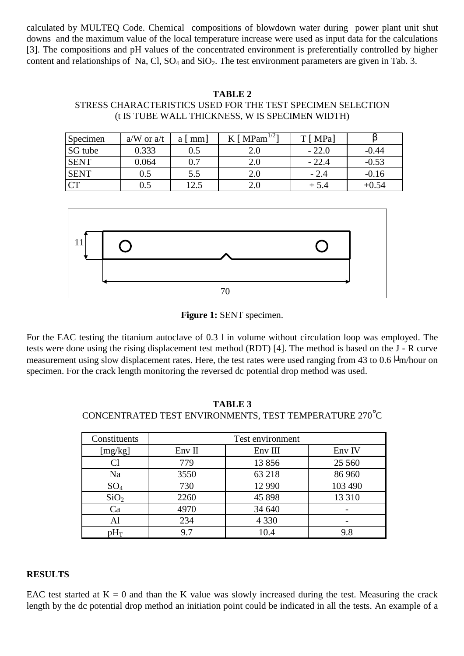calculated by MULTEQ Code. Chemical compositions of blowdown water during power plant unit shut downs and the maximum value of the local temperature increase were used as input data for the calculations [3]. The compositions and pH values of the concentrated environment is preferentially controlled by higher content and relationships of Na, Cl,  $SO_4$  and  $SiO_2$ . The test environment parameters are given in Tab. 3.

#### **TABLE 2**

## STRESS CHARACTERISTICS USED FOR THE TEST SPECIMEN SELECTION (t IS TUBE WALL THICKNESS, W IS SPECIMEN WIDTH)

| Specimen    | $a/W$ or $a/t$ | $a \mid mm$ | [ $MPam^{1/2}$ ] | $T$ [ MPa] |         |
|-------------|----------------|-------------|------------------|------------|---------|
| SG tube     | 0.333          | 0.5         | 2.0              | $-22.0$    | $-0.44$ |
| <b>SENT</b> | 0.064          | 0.7         | 2.0              | $-22.4$    | $-0.53$ |
| <b>SENT</b> | $0.5\,$        | 5.5         | 2.0              | $-2.4$     | $-0.16$ |
| CT          | $0.5\,$        | l2.5        | 2.U              | $+5.4$     | $+0.54$ |



**Figure 1:** SENT specimen.

For the EAC testing the titanium autoclave of 0.3 l in volume without circulation loop was employed. The tests were done using the rising displacement test method (RDT) [4]. The method is based on the J - R curve measurement using slow displacement rates. Here, the test rates were used ranging from 43 to 0.6  $\mu$ m/hour on specimen. For the crack length monitoring the reversed dc potential drop method was used.

**TABLE 3** CONCENTRATED TEST ENVIRONMENTS, TEST TEMPERATURE 270°C

| Constituents     | Test environment |         |          |  |
|------------------|------------------|---------|----------|--|
| [mg/kg]          | Env II           | Env III | Env IV   |  |
| Cl               | 779              | 13856   | 25 5 6 0 |  |
| Na               | 3550             | 63 218  | 86 960   |  |
| $SO_4$           | 730              | 12 990  | 103 490  |  |
| SiO <sub>2</sub> | 2260             | 45 898  | 13 3 10  |  |
| Ca               | 4970             | 34 640  |          |  |
| Al               | 234              | 4 3 3 0 |          |  |
| ר $H_{\Gamma}$   | 9.7              | 10.4    | 9.8      |  |

#### **RESULTS**

EAC test started at  $K = 0$  and than the K value was slowly increased during the test. Measuring the crack length by the dc potential drop method an initiation point could be indicated in all the tests. An example of a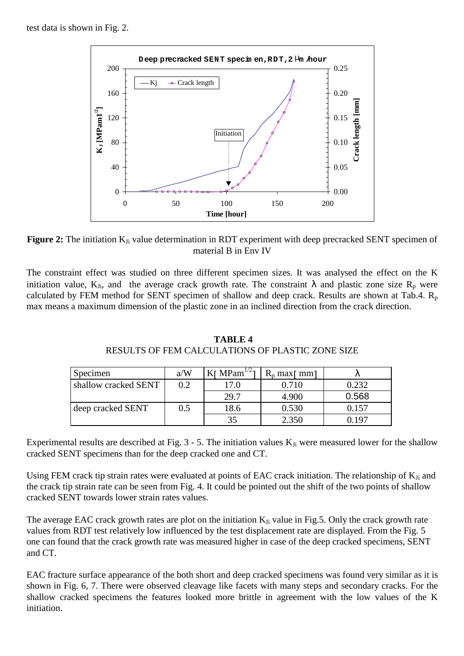

Figure 2: The initiation K<sub>Ji</sub> value determination in RDT experiment with deep precracked SENT specimen of material B in Env IV

The constraint effect was studied on three different specimen sizes. It was analysed the effect on the K initiation value, K<sub>Ji</sub>, and the average crack growth rate. The constraint  $\lambda$  and plastic zone size R<sub>p</sub> were calculated by FEM method for SENT specimen of shallow and deep crack. Results are shown at Tab.4.  $R_p$ max means a maximum dimension of the plastic zone in an inclined direction from the crack direction.

| Specimen             | a/W | $\text{Kr} \text{ MPam}^{1/2}$ | $R_n$ max <sub>[ mm]</sub> |       |
|----------------------|-----|--------------------------------|----------------------------|-------|
| shallow cracked SENT | 0.2 | 17.0                           | 0.710                      | 0.232 |
|                      |     | 29.7                           | 4.900                      | 0.568 |
| deep cracked SENT    | 0.5 | 18.6                           | 0.530                      | 0.157 |
|                      |     |                                | 2.350                      | - 197 |

 **TABLE 4** RESULTS OF FEM CALCULATIONS OF PLASTIC ZONE SIZE

Experimental results are described at Fig.  $3 - 5$ . The initiation values  $K_{Ji}$  were measured lower for the shallow cracked SENT specimens than for the deep cracked one and CT.

Using FEM crack tip strain rates were evaluated at points of EAC crack initiation. The relationship of K<sub>Ji</sub> and the crack tip strain rate can be seen from Fig. 4. It could be pointed out the shift of the two points of shallow cracked SENT towards lower strain rates values.

The average EAC crack growth rates are plot on the initiation  $K_{Ji}$  value in Fig.5. Only the crack growth rate values from RDT test relatively low influenced by the test displacement rate are displayed. From the Fig. 5 one can found that the crack growth rate was measured higher in case of the deep cracked specimens, SENT and CT.

EAC fracture surface appearance of the both short and deep cracked specimens was found very similar as it is shown in Fig. 6, 7. There were observed cleavage like facets with many steps and secondary cracks. For the shallow cracked specimens the features looked more brittle in agreement with the low values of the K initiation.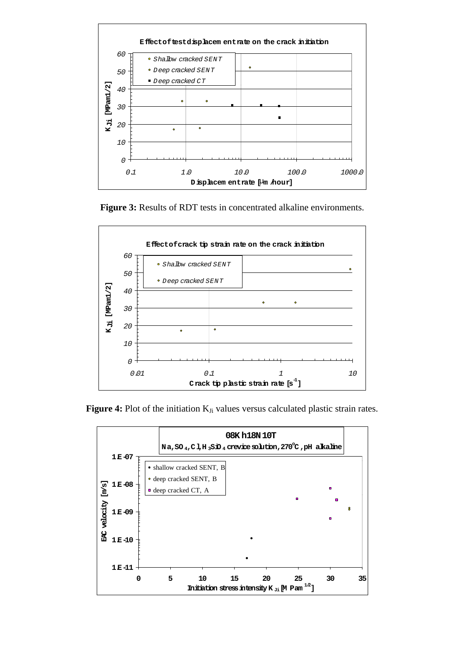

**Figure 3:** Results of RDT tests in concentrated alkaline environments.



Figure 4: Plot of the initiation K<sub>Ji</sub> values versus calculated plastic strain rates.

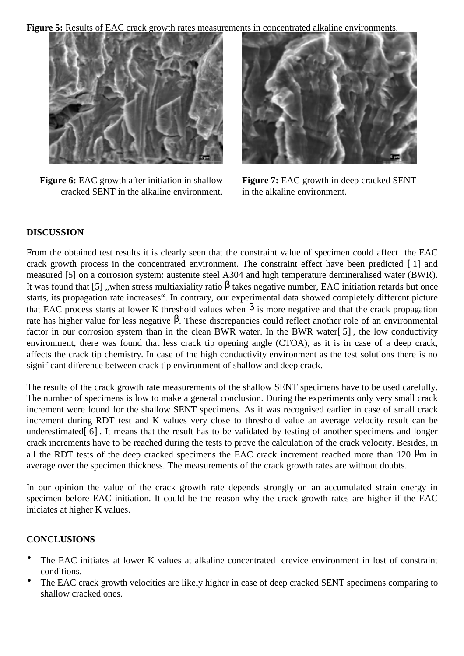**Figure 5:** Results of EAC crack growth rates measurements in concentrated alkaline environments.



**Figure 6:** EAC growth after initiation in shallow cracked SENT in the alkaline environment.



**Figure 7:** EAC growth in deep cracked SENT in the alkaline environment.

# **DISCUSSION**

From the obtained test results it is clearly seen that the constraint value of specimen could affect the EAC crack growth process in the concentrated environment. The constraint effect have been predicted [ 1] and measured [5] on a corrosion system: austenite steel A304 and high temperature demineralised water (BWR). It was found that [5] , when stress multiaxiality ratio  $\beta$  takes negative number, EAC initiation retards but once starts, its propagation rate increases". In contrary, our experimental data showed completely different picture that EAC process starts at lower K threshold values when  $\beta$  is more negative and that the crack propagation rate has higher value for less negative  $β$ . These discrepancies could reflect another role of an environmental factor in our corrosion system than in the clean BWR water. In the BWR water[ 5] , the low conductivity environment, there was found that less crack tip opening angle (CTOA), as it is in case of a deep crack, affects the crack tip chemistry. In case of the high conductivity environment as the test solutions there is no significant diference between crack tip environment of shallow and deep crack.

The results of the crack growth rate measurements of the shallow SENT specimens have to be used carefully. The number of specimens is low to make a general conclusion. During the experiments only very small crack increment were found for the shallow SENT specimens. As it was recognised earlier in case of small crack increment during RDT test and K values very close to threshold value an average velocity result can be underestimated<sup>[6]</sup>. It means that the result has to be validated by testing of another specimens and longer crack increments have to be reached during the tests to prove the calculation of the crack velocity. Besides, in all the RDT tests of the deep cracked specimens the EAC crack increment reached more than 120  $\mu$ m in average over the specimen thickness. The measurements of the crack growth rates are without doubts.

In our opinion the value of the crack growth rate depends strongly on an accumulated strain energy in specimen before EAC initiation. It could be the reason why the crack growth rates are higher if the EAC iniciates at higher K values.

# **CONCLUSIONS**

- The EAC initiates at lower K values at alkaline concentrated crevice environment in lost of constraint conditions.
- The EAC crack growth velocities are likely higher in case of deep cracked SENT specimens comparing to shallow cracked ones.